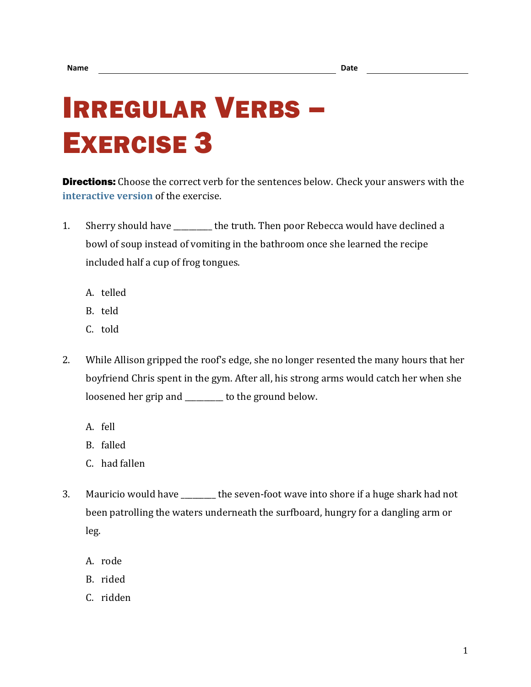## IRREGULAR VERBS – EXERCISE 3

**Directions:** Choose the correct verb for the sentences below. Check your answers with the **[interactive version](https://chompchomp.com/irregular03/)** of the exercise.

- 1. Sherry should have the truth. Then poor Rebecca would have declined a bowl of soup instead of vomiting in the bathroom once she learned the recipe included half a cup of frog tongues.
	- A. telled
	- B. teld
	- C. told
- 2. While Allison gripped the roof's edge, she no longer resented the many hours that her boyfriend Chris spent in the gym. After all, his strong arms would catch her when she loosened her grip and to the ground below.
	- A. fell
	- B. falled
	- C. had fallen
- 3. Mauricio would have \_\_\_\_\_\_\_\_\_ the seven-foot wave into shore if a huge shark had not been patrolling the waters underneath the surfboard, hungry for a dangling arm or leg.
	- A. rode
	- B. rided
	- C. ridden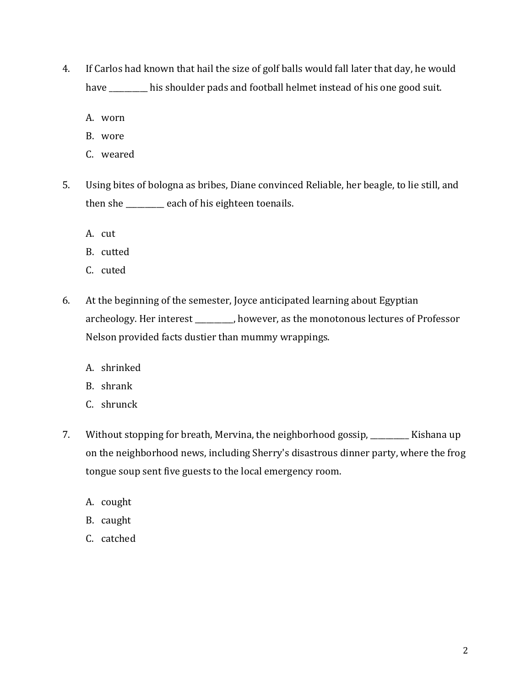- 4. If Carlos had known that hail the size of golf balls would fall later that day, he would have \_\_\_\_\_\_\_\_\_ his shoulder pads and football helmet instead of his one good suit.
	- A. worn
	- B. wore
	- C. weared
- 5. Using bites of bologna as bribes, Diane convinced Reliable, her beagle, to lie still, and then she \_\_\_\_\_\_\_\_\_\_ each of his eighteen toenails.
	- A. cut
	- B. cutted
	- C. cuted
- 6. At the beginning of the semester, Joyce anticipated learning about Egyptian archeology. Her interest \_\_\_\_\_\_\_\_\_\_, however, as the monotonous lectures of Professor Nelson provided facts dustier than mummy wrappings.
	- A. shrinked
	- B. shrank
	- C. shrunck
- 7. Without stopping for breath, Mervina, the neighborhood gossip, \_\_\_\_\_\_\_\_\_\_ Kishana up on the neighborhood news, including Sherry's disastrous dinner party, where the frog tongue soup sent five guests to the local emergency room.
	- A. cought
	- B. caught
	- C. catched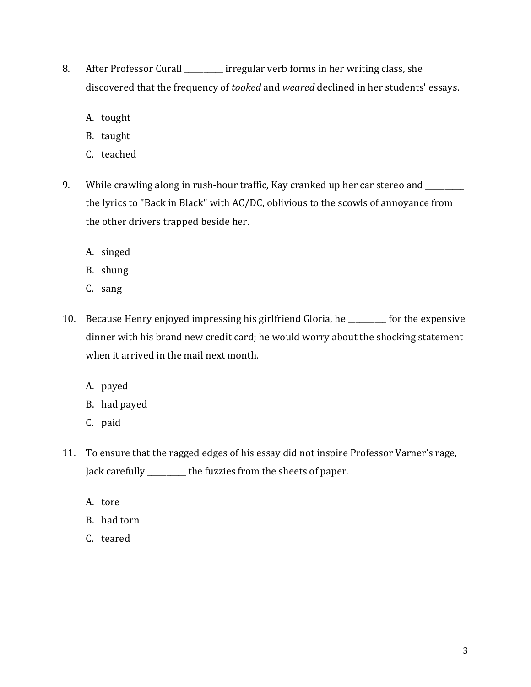- 8. After Professor Curall \_\_\_\_\_\_\_\_\_\_ irregular verb forms in her writing class, she discovered that the frequency of *tooked* and *weared* declined in her students' essays.
	- A. tought
	- B. taught
	- C. teached
- 9. While crawling along in rush-hour traffic, Kay cranked up her car stereo and \_\_\_\_\_\_\_ the lyrics to "Back in Black" with AC/DC, oblivious to the scowls of annoyance from the other drivers trapped beside her.
	- A. singed
	- B. shung
	- C. sang
- 10. Because Henry enjoyed impressing his girlfriend Gloria, he \_\_\_\_\_\_\_\_\_\_ for the expensive dinner with his brand new credit card; he would worry about the shocking statement when it arrived in the mail next month.
	- A. payed
	- B. had payed
	- C. paid
- 11. To ensure that the ragged edges of his essay did not inspire Professor Varner's rage, Jack carefully \_\_\_\_\_\_\_\_\_\_ the fuzzies from the sheets of paper.
	- A. tore
	- B. had torn
	- C. teared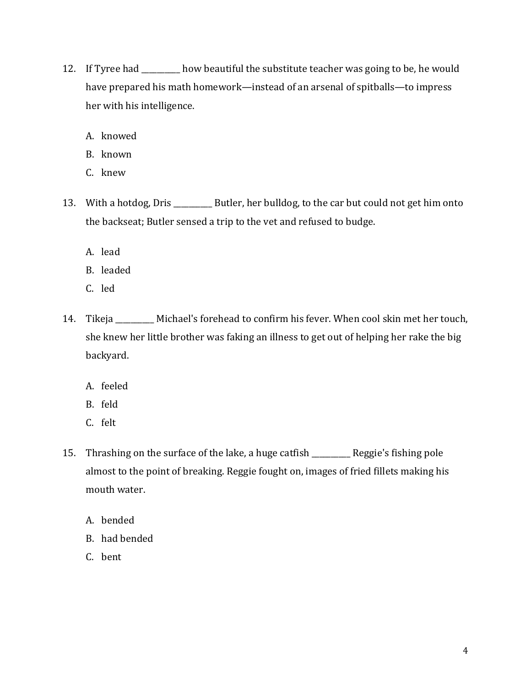- 12. If Tyree had \_\_\_\_\_\_\_\_\_\_ how beautiful the substitute teacher was going to be, he would have prepared his math homework—instead of an arsenal of spitballs—to impress her with his intelligence.
	- A. knowed
	- B. known
	- C. knew
- 13. With a hotdog, Dris \_\_\_\_\_\_\_\_\_\_\_ Butler, her bulldog, to the car but could not get him onto the backseat; Butler sensed a trip to the vet and refused to budge.
	- A. lead
	- B. leaded
	- C. led
- 14. Tikeja \_\_\_\_\_\_\_\_\_\_ Michael's forehead to confirm his fever. When cool skin met her touch, she knew her little brother was faking an illness to get out of helping her rake the big backyard.
	- A. feeled
	- B. feld
	- C. felt
- 15. Thrashing on the surface of the lake, a huge catfish \_\_\_\_\_\_\_\_\_\_ Reggie's fishing pole almost to the point of breaking. Reggie fought on, images of fried fillets making his mouth water.
	- A. bended
	- B. had bended
	- C. bent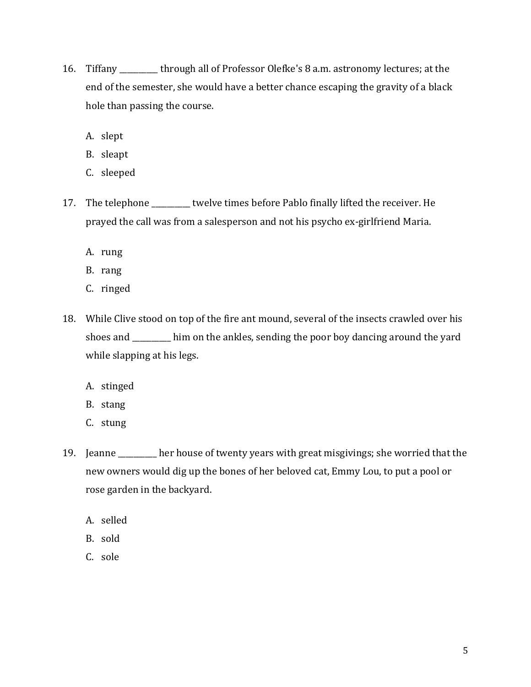- 16. Tiffany \_\_\_\_\_\_\_\_\_\_ through all of Professor Olefke's 8 a.m. astronomy lectures; at the end of the semester, she would have a better chance escaping the gravity of a black hole than passing the course.
	- A. slept
	- B. sleapt
	- C. sleeped
- 17. The telephone \_\_\_\_\_\_\_\_\_\_ twelve times before Pablo finally lifted the receiver. He prayed the call was from a salesperson and not his psycho ex-girlfriend Maria.
	- A. rung
	- B. rang
	- C. ringed
- 18. While Clive stood on top of the fire ant mound, several of the insects crawled over his shoes and \_\_\_\_\_\_\_\_\_\_ him on the ankles, sending the poor boy dancing around the yard while slapping at his legs.
	- A. stinged
	- B. stang
	- C. stung
- 19. Jeanne \_\_\_\_\_\_\_\_\_\_ her house of twenty years with great misgivings; she worried that the new owners would dig up the bones of her beloved cat, Emmy Lou, to put a pool or rose garden in the backyard.
	- A. selled
	- B. sold
	- C. sole